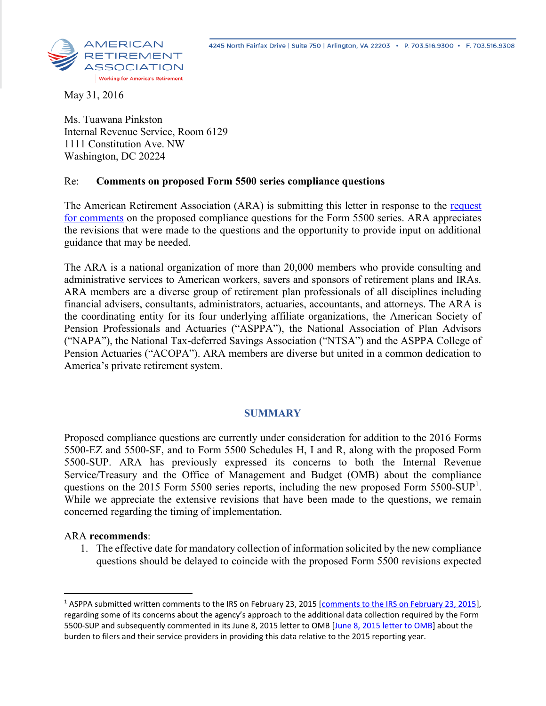

May 31, 2016

Ms. Tuawana Pinkston Internal Revenue Service, Room 6129 1111 Constitution Ave. NW Washington, DC 20224

## Re: **Comments on proposed Form 5500 series compliance questions**

The American Retirement Association (ARA) is submitting this letter in response to the [request](https://www.gpo.gov/fdsys/pkg/FR-2016-03-31/pdf/2016-07217.pdf)  [for comments](https://www.gpo.gov/fdsys/pkg/FR-2016-03-31/pdf/2016-07217.pdf) on the proposed compliance questions for the Form 5500 series. ARA appreciates the revisions that were made to the questions and the opportunity to provide input on additional guidance that may be needed.

The ARA is a national organization of more than 20,000 members who provide consulting and administrative services to American workers, savers and sponsors of retirement plans and IRAs. ARA members are a diverse group of retirement plan professionals of all disciplines including financial advisers, consultants, administrators, actuaries, accountants, and attorneys. The ARA is the coordinating entity for its four underlying affiliate organizations, the American Society of Pension Professionals and Actuaries ("ASPPA"), the National Association of Plan Advisors ("NAPA"), the National Tax-deferred Savings Association ("NTSA") and the ASPPA College of Pension Actuaries ("ACOPA"). ARA members are diverse but united in a common dedication to America's private retirement system.

## **SUMMARY**

Proposed compliance questions are currently under consideration for addition to the 2016 Forms 5500-EZ and 5500-SF, and to Form 5500 Schedules H, I and R, along with the proposed Form 5500-SUP. ARA has previously expressed its concerns to both the Internal Revenue Service/Treasury and the Office of Management and Budget (OMB) about the compliance questions on the 2015 Form 5500 series reports, including the new proposed Form 5500-SUP<sup>1</sup>. While we appreciate the extensive revisions that have been made to the questions, we remain concerned regarding the timing of implementation.

## ARA **recommends**:

 $\overline{a}$ 

1. The effective date for mandatory collection of information solicited by the new compliance questions should be delayed to coincide with the proposed Form 5500 revisions expected

<sup>1</sup> ASPPA submitted written comments to the IRS on February 23, 2015 [\[comments to the IRS on February 23, 2015\]](http://www.asppa-net.org/Portals/2/PDFs/GAC/Comment%20Letter/Comment%205500%20Letter2.23.15final.pdf), regarding some of its concerns about the agency's approach to the additional data collection required by the Form 5500-SUP and subsequently commented in its June 8, 2015 letter to OMB [\[June 8, 2015 letter to OMB\]](http://www.asppa-net.org/Portals/2/PDFs/GAC/Comment%20Letter/OMB6.8.15final.pdf) about the burden to filers and their service providers in providing this data relative to the 2015 reporting year.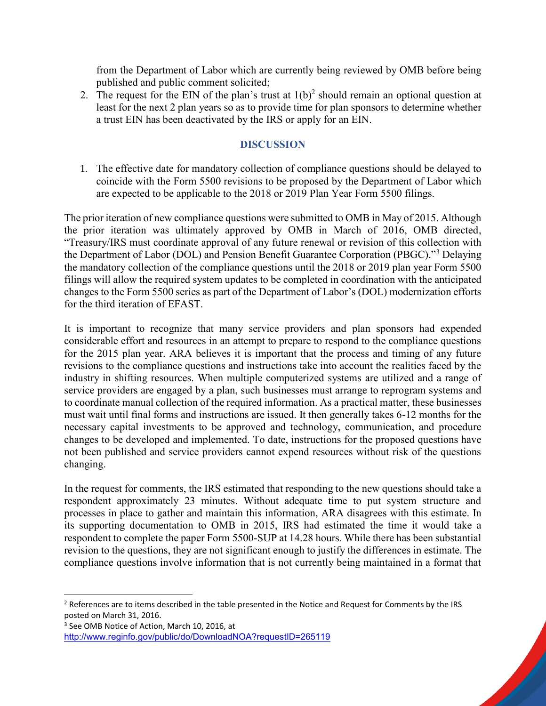from the Department of Labor which are currently being reviewed by OMB before being published and public comment solicited;

2. The request for the EIN of the plan's trust at  $1(b)^2$  should remain an optional question at least for the next 2 plan years so as to provide time for plan sponsors to determine whether a trust EIN has been deactivated by the IRS or apply for an EIN.

# **DISCUSSION**

1. The effective date for mandatory collection of compliance questions should be delayed to coincide with the Form 5500 revisions to be proposed by the Department of Labor which are expected to be applicable to the 2018 or 2019 Plan Year Form 5500 filings.

The prior iteration of new compliance questions were submitted to OMB in May of 2015. Although the prior iteration was ultimately approved by OMB in March of 2016, OMB directed, "Treasury/IRS must coordinate approval of any future renewal or revision of this collection with the Department of Labor (DOL) and Pension Benefit Guarantee Corporation (PBGC)."<sup>3</sup> Delaying the mandatory collection of the compliance questions until the 2018 or 2019 plan year Form 5500 filings will allow the required system updates to be completed in coordination with the anticipated changes to the Form 5500 series as part of the Department of Labor's (DOL) modernization efforts for the third iteration of EFAST.

It is important to recognize that many service providers and plan sponsors had expended considerable effort and resources in an attempt to prepare to respond to the compliance questions for the 2015 plan year. ARA believes it is important that the process and timing of any future revisions to the compliance questions and instructions take into account the realities faced by the industry in shifting resources. When multiple computerized systems are utilized and a range of service providers are engaged by a plan, such businesses must arrange to reprogram systems and to coordinate manual collection of the required information. As a practical matter, these businesses must wait until final forms and instructions are issued. It then generally takes 6-12 months for the necessary capital investments to be approved and technology, communication, and procedure changes to be developed and implemented. To date, instructions for the proposed questions have not been published and service providers cannot expend resources without risk of the questions changing.

In the request for comments, the IRS estimated that responding to the new questions should take a respondent approximately 23 minutes. Without adequate time to put system structure and processes in place to gather and maintain this information, ARA disagrees with this estimate. In its supporting documentation to OMB in 2015, IRS had estimated the time it would take a respondent to complete the paper Form 5500-SUP at 14.28 hours. While there has been substantial revision to the questions, they are not significant enough to justify the differences in estimate. The compliance questions involve information that is not currently being maintained in a format that

 $\overline{\phantom{a}}$ 

<sup>&</sup>lt;sup>2</sup> References are to items described in the table presented in the Notice and Request for Comments by the IRS posted on March 31, 2016.

<sup>3</sup> See OMB Notice of Action, March 10, 2016, at <http://www.reginfo.gov/public/do/DownloadNOA?requestID=265119>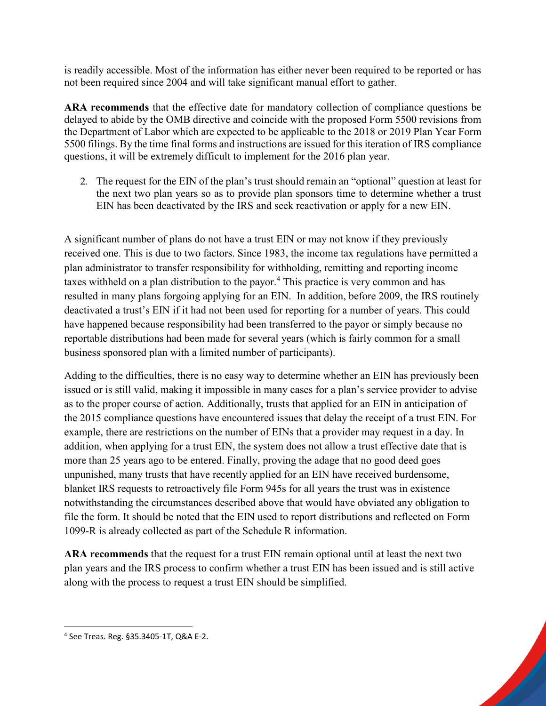is readily accessible. Most of the information has either never been required to be reported or has not been required since 2004 and will take significant manual effort to gather.

**ARA recommends** that the effective date for mandatory collection of compliance questions be delayed to abide by the OMB directive and coincide with the proposed Form 5500 revisions from the Department of Labor which are expected to be applicable to the 2018 or 2019 Plan Year Form 5500 filings. By the time final forms and instructions are issued for this iteration of IRS compliance questions, it will be extremely difficult to implement for the 2016 plan year.

2. The request for the EIN of the plan's trust should remain an "optional" question at least for the next two plan years so as to provide plan sponsors time to determine whether a trust EIN has been deactivated by the IRS and seek reactivation or apply for a new EIN.

A significant number of plans do not have a trust EIN or may not know if they previously received one. This is due to two factors. Since 1983, the income tax regulations have permitted a plan administrator to transfer responsibility for withholding, remitting and reporting income taxes withheld on a plan distribution to the payor.<sup>4</sup> This practice is very common and has resulted in many plans forgoing applying for an EIN. In addition, before 2009, the IRS routinely deactivated a trust's EIN if it had not been used for reporting for a number of years. This could have happened because responsibility had been transferred to the payor or simply because no reportable distributions had been made for several years (which is fairly common for a small business sponsored plan with a limited number of participants).

Adding to the difficulties, there is no easy way to determine whether an EIN has previously been issued or is still valid, making it impossible in many cases for a plan's service provider to advise as to the proper course of action. Additionally, trusts that applied for an EIN in anticipation of the 2015 compliance questions have encountered issues that delay the receipt of a trust EIN. For example, there are restrictions on the number of EINs that a provider may request in a day. In addition, when applying for a trust EIN, the system does not allow a trust effective date that is more than 25 years ago to be entered. Finally, proving the adage that no good deed goes unpunished, many trusts that have recently applied for an EIN have received burdensome, blanket IRS requests to retroactively file Form 945s for all years the trust was in existence notwithstanding the circumstances described above that would have obviated any obligation to file the form. It should be noted that the EIN used to report distributions and reflected on Form 1099-R is already collected as part of the Schedule R information.

**ARA recommends** that the request for a trust EIN remain optional until at least the next two plan years and the IRS process to confirm whether a trust EIN has been issued and is still active along with the process to request a trust EIN should be simplified.

 $\overline{\phantom{a}}$ 

<sup>4</sup> See Treas. Reg. §35.3405-1T, Q&A E-2.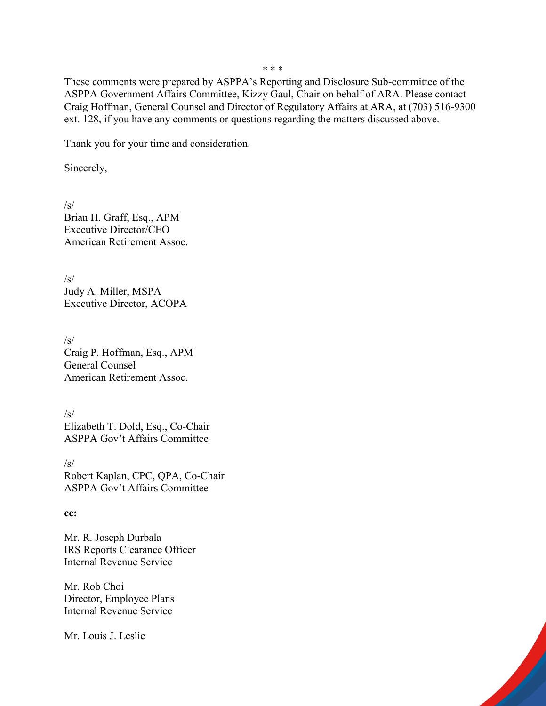\* \* \*

These comments were prepared by ASPPA's Reporting and Disclosure Sub-committee of the ASPPA Government Affairs Committee, Kizzy Gaul, Chair on behalf of ARA. Please contact Craig Hoffman, General Counsel and Director of Regulatory Affairs at ARA, at (703) 516-9300 ext. 128, if you have any comments or questions regarding the matters discussed above.

Thank you for your time and consideration.

Sincerely,

 $\sqrt{s}$ Brian H. Graff, Esq., APM Executive Director/CEO American Retirement Assoc.

 $\sqrt{s}$ Judy A. Miller, MSPA Executive Director, ACOPA

 $\sqrt{s}$ Craig P. Hoffman, Esq., APM General Counsel American Retirement Assoc.

 $\sqrt{s}$ Elizabeth T. Dold, Esq., Co-Chair ASPPA Gov't Affairs Committee

 $\sqrt{s/}$ Robert Kaplan, CPC, QPA, Co-Chair ASPPA Gov't Affairs Committee

#### **cc:**

Mr. R. Joseph Durbala IRS Reports Clearance Officer Internal Revenue Service

Mr. Rob Choi Director, Employee Plans Internal Revenue Service

Mr. Louis J. Leslie